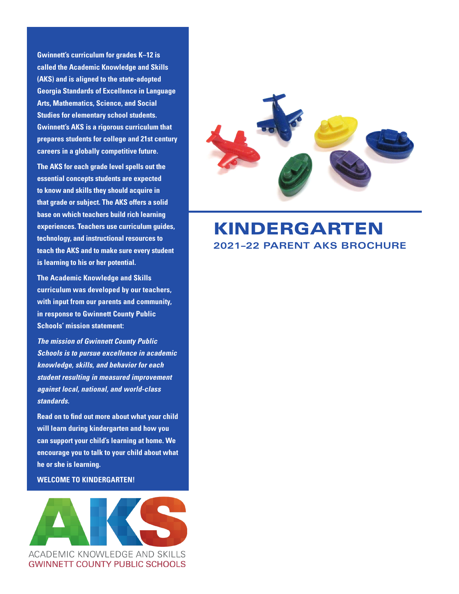**Gwinnett's curriculum for grades K–12 is called the Academic Knowledge and Skills (AKS) and is aligned to the state-adopted Georgia Standards of Excellence in Language Arts, Mathematics, Science, and Social Studies for elementary school students. Gwinnett's AKS is a rigorous curriculum that prepares students for college and 21st century careers in a globally competitive future.**

**The AKS for each grade level spells out the essential concepts students are expected to know and skills they should acquire in that grade or subject. The AKS offers a solid base on which teachers build rich learning experiences. Teachers use curriculum guides, technology, and instructional resources to teach the AKS and to make sure every student is learning to his or her potential.**

**The Academic Knowledge and Skills curriculum was developed by our teachers, with input from our parents and community, in response to Gwinnett County Public Schools' mission statement:**

*The mission of Gwinnett County Public Schools is to pursue excellence in academic knowledge, skills, and behavior for each student resulting in measured improvement against local, national, and world-class standards.*

**Read on to find out more about what your child will learn during kindergarten and how you can support your child's learning at home. We encourage you to talk to your child about what he or she is learning.** 

# **WELCOME TO KINDERGARTEN!**





# KINDERGARTEN **2021–22 PARENT AKS BROCHURE**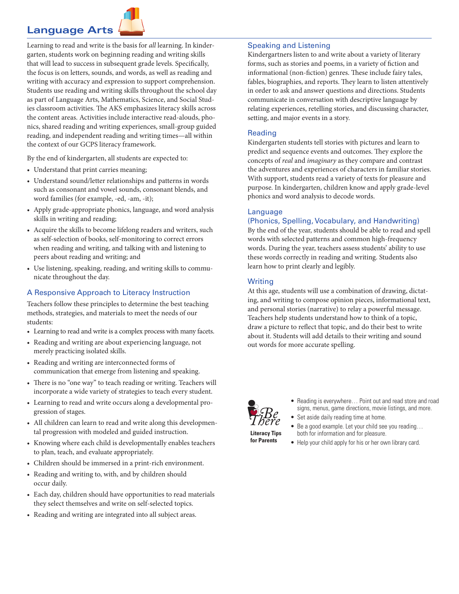# **Language Arts**



Learning to read and write is the basis for *all* learning. In kindergarten, students work on beginning reading and writing skills that will lead to success in subsequent grade levels. Specifically, the focus is on letters, sounds, and words, as well as reading and writing with accuracy and expression to support comprehension. Students use reading and writing skills throughout the school day as part of Language Arts, Mathematics, Science, and Social Studies classroom activities. The AKS emphasizes literacy skills across the content areas. Activities include interactive read-alouds, phonics, shared reading and writing experiences, small-group guided reading, and independent reading and writing times—all within the context of our GCPS literacy framework.

By the end of kindergarten, all students are expected to:

- Understand that print carries meaning;
- Understand sound/letter relationships and patterns in words such as consonant and vowel sounds, consonant blends, and word families (for example, -ed, -am, -it);
- Apply grade-appropriate phonics, language, and word analysis skills in writing and reading;
- Acquire the skills to become lifelong readers and writers, such as self-selection of books, self-monitoring to correct errors when reading and writing, and talking with and listening to peers about reading and writing; and
- Use listening, speaking, reading, and writing skills to communicate throughout the day.

# A Responsive Approach to Literacy Instruction

Teachers follow these principles to determine the best teaching methods, strategies, and materials to meet the needs of our students:

- Learning to read and write is a complex process with many facets.
- Reading and writing are about experiencing language, not merely practicing isolated skills.
- Reading and writing are interconnected forms of communication that emerge from listening and speaking.
- There is no "one way" to teach reading or writing. Teachers will incorporate a wide variety of strategies to teach every student.
- Learning to read and write occurs along a developmental progression of stages.
- All children can learn to read and write along this developmental progression with modeled and guided instruction.
- Knowing where each child is developmentally enables teachers to plan, teach, and evaluate appropriately.
- Children should be immersed in a print-rich environment.
- Reading and writing to, with, and by children should occur daily.
- Each day, children should have opportunities to read materials they select themselves and write on self-selected topics.
- Reading and writing are integrated into all subject areas.

#### Speaking and Listening

Kindergartners listen to and write about a variety of literary forms, such as stories and poems, in a variety of fiction and informational (non-fiction) genres. These include fairy tales, fables, biographies, and reports. They learn to listen attentively in order to ask and answer questions and directions. Students communicate in conversation with descriptive language by relating experiences, retelling stories, and discussing character, setting, and major events in a story.

### Reading

Kindergarten students tell stories with pictures and learn to predict and sequence events and outcomes. They explore the concepts of *real* and *imaginary* as they compare and contrast the adventures and experiences of characters in familiar stories. With support, students read a variety of texts for pleasure and purpose. In kindergarten, children know and apply grade-level phonics and word analysis to decode words.

### **Language**

## (Phonics, Spelling, Vocabulary, and Handwriting)

By the end of the year, students should be able to read and spell words with selected patterns and common high-frequency words. During the year, teachers assess students' ability to use these words correctly in reading and writing. Students also learn how to print clearly and legibly.

### **Writing**

At this age, students will use a combination of drawing, dictating, and writing to compose opinion pieces, informational text, and personal stories (narrative) to relay a powerful message. Teachers help students understand how to think of a topic, draw a picture to reflect that topic, and do their best to write about it. Students will add details to their writing and sound out words for more accurate spelling.



**Literacy Tips for Parents**

- Reading is everywhere… Point out and read store and road signs, menus, game directions, movie listings, and more.
- Set aside daily reading time at home.
	- Be a good example. Let your child see you reading… both for information and for pleasure.
- Help your child apply for his or her own library card.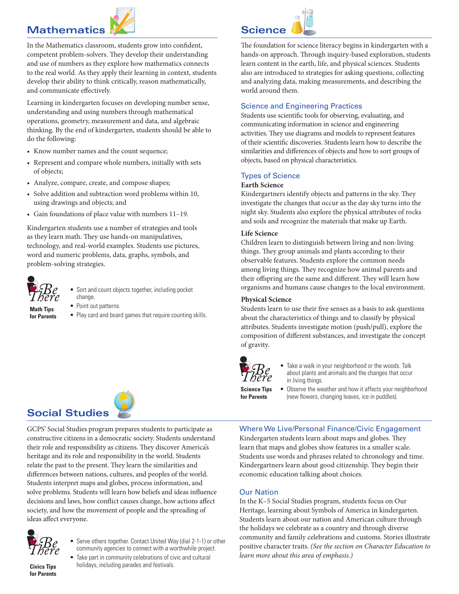# **Mathematics**



In the Mathematics classroom, students grow into confident, competent problem-solvers. They develop their understanding and use of numbers as they explore how mathematics connects to the real world. As they apply their learning in context, students develop their ability to think critically, reason mathematically, and communicate effectively.

Learning in kindergarten focuses on developing number sense, understanding and using numbers through mathematical operations, geometry, measurement and data, and algebraic thinking. By the end of kindergarten, students should be able to do the following:

- Know number names and the count sequence;
- Represent and compare whole numbers, initially with sets of objects;
- Analyze, compare, create, and compose shapes;
- Solve addition and subtraction word problems within 10, using drawings and objects; and
- Gain foundations of place value with numbers 11–19.

Kindergarten students use a number of strategies and tools as they learn math. They use hands-on manipulatives, technology, and real-world examples. Students use pictures, word and numeric problems, data, graphs, symbols, and problem-solving strategies.



- Sort and count objects together, including pocket change.
- Point out patterns.
- Play card and board games that require counting skills.



The foundation for science literacy begins in kindergarten with a hands-on approach. Through inquiry-based exploration, students learn content in the earth, life, and physical sciences. Students also are introduced to strategies for asking questions, collecting and analyzing data, making measurements, and describing the world around them.

### Science and Engineering Practices

Students use scientific tools for observing, evaluating, and communicating information in science and engineering activities. They use diagrams and models to represent features of their scientific discoveries. Students learn how to describe the similarities and differences of objects and how to sort groups of objects, based on physical characteristics.

## Types of Science

## **Earth Science**

Kindergartners identify objects and patterns in the sky. They investigate the changes that occur as the day sky turns into the night sky. Students also explore the physical attributes of rocks and soils and recognize the materials that make up Earth.

#### **Life Science**

Children learn to distinguish between living and non-living things. They group animals and plants according to their observable features. Students explore the common needs among living things. They recognize how animal parents and their offspring are the same and different. They will learn how organisms and humans cause changes to the local environment.

#### **Physical Science**

Students learn to use their five senses as a basis to ask questions about the characteristics of things and to classify by physical attributes. Students investigate motion (push/pull), explore the composition of different substances, and investigate the concept of gravity.



**for Parents**

- Take a walk in your neighborhood or the woods. Talk about plants and animals and the changes that occur in living things.
- Observe the weather and how it affects your neighborhood (new flowers, changing leaves, ice in puddles). **Science Tips**

## Where We Live/Personal Finance/Civic Engagement

Kindergarten students learn about maps and globes. They learn that maps and globes show features in a smaller scale. Students use words and phrases related to chronology and time. Kindergartners learn about good citizenship. They begin their economic education talking about choices.

## Our Nation

In the K–5 Social Studies program, students focus on Our Heritage, learning about Symbols of America in kindergarten. Students learn about our nation and American culture through the holidays we celebrate as a country and through diverse community and family celebrations and customs. Stories illustrate positive character traits. *(See the section on Character Education to learn more about this area of emphasis.)* 



GCPS' Social Studies program prepares students to participate as constructive citizens in a democratic society. Students understand their role and responsibility as citizens. They discover America's heritage and its role and responsibility in the world. Students relate the past to the present. They learn the similarities and differences between nations, cultures, and peoples of the world. Students interpret maps and globes, process information, and solve problems. Students will learn how beliefs and ideas influence decisions and laws, how conflict causes change, how actions affect society, and how the movement of people and the spreading of ideas affect everyone.



- Serve others together. Contact United Way (dial 2-1-1) or other community agencies to connect with a worthwhile project.
- Take part in community celebrations of civic and cultural **Civics Tips** holidays, including parades and festivals.

**for Parents**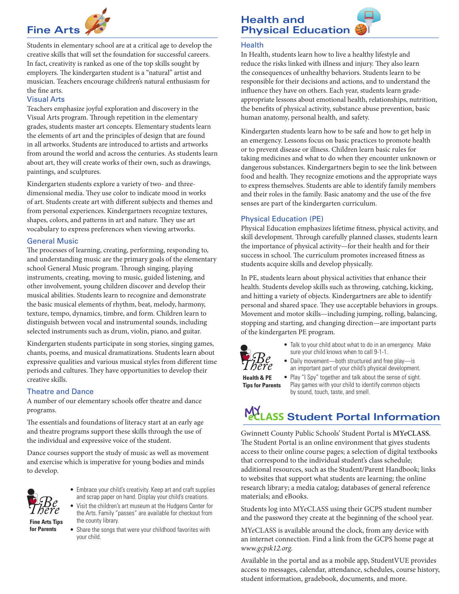

Students in elementary school are at a critical age to develop the creative skills that will set the foundation for successful careers. In fact, creativity is ranked as one of the top skills sought by employers. The kindergarten student is a "natural" artist and musician. Teachers encourage children's natural enthusiasm for the fine arts.

## Visual Arts

Teachers emphasize joyful exploration and discovery in the Visual Arts program. Through repetition in the elementary grades, students master art concepts. Elementary students learn the elements of art and the principles of design that are found in all artworks. Students are introduced to artists and artworks from around the world and across the centuries. As students learn about art, they will create works of their own, such as drawings, paintings, and sculptures.

Kindergarten students explore a variety of two- and threedimensional media. They use color to indicate mood in works of art. Students create art with different subjects and themes and from personal experiences. Kindergartners recognize textures, shapes, colors, and patterns in art and nature. They use art vocabulary to express preferences when viewing artworks.

## General Music

The processes of learning, creating, performing, responding to, and understanding music are the primary goals of the elementary school General Music program. Through singing, playing instruments, creating, moving to music, guided listening, and other involvement, young children discover and develop their musical abilities. Students learn to recognize and demonstrate the basic musical elements of rhythm, beat, melody, harmony, texture, tempo, dynamics, timbre, and form. Children learn to distinguish between vocal and instrumental sounds, including selected instruments such as drum, violin, piano, and guitar.

Kindergarten students participate in song stories, singing games, chants, poems, and musical dramatizations. Students learn about expressive qualities and various musical styles from different time periods and cultures. They have opportunities to develop their creative skills.

# Theatre and Dance

A number of our elementary schools offer theatre and dance programs.

The essentials and foundations of literacy start at an early age and theatre programs support these skills through the use of the individual and expressive voice of the student.

Dance courses support the study of music as well as movement and exercise which is imperative for young bodies and minds to develop.



- Embrace your child's creativity. Keep art and craft supplies and scrap paper on hand. Display your child's creations.
- Visit the children's art museum at the Hudgens Center for the Arts. Family "passes" are available for checkout from the county library. **Fine Arts Tips for Parents**
	- Share the songs that were your childhood favorites with your child.

# **Health and Physical Education**

#### **Health**

In Health, students learn how to live a healthy lifestyle and reduce the risks linked with illness and injury. They also learn the consequences of unhealthy behaviors. Students learn to be responsible for their decisions and actions, and to understand the influence they have on others. Each year, students learn gradeappropriate lessons about emotional health, relationships, nutrition, the benefits of physical activity, substance abuse prevention, basic human anatomy, personal health, and safety.

Kindergarten students learn how to be safe and how to get help in an emergency. Lessons focus on basic practices to promote health or to prevent disease or illness. Children learn basic rules for taking medicines and what to do when they encounter unknown or dangerous substances. Kindergartners begin to see the link between food and health. They recognize emotions and the appropriate ways to express themselves. Students are able to identify family members and their roles in the family. Basic anatomy and the use of the five senses are part of the kindergarten curriculum.

## Physical Education (PE)

Physical Education emphasizes lifetime fitness, physical activity, and skill development. Through carefully planned classes, students learn the importance of physical activity—for their health and for their success in school. The curriculum promotes increased fitness as students acquire skills and develop physically.

In PE, students learn about physical activities that enhance their health. Students develop skills such as throwing, catching, kicking, and hitting a variety of objects. Kindergartners are able to identify personal and shared space. They use acceptable behaviors in groups. Movement and motor skills—including jumping, rolling, balancing, stopping and starting, and changing direction—are important parts of the kindergarten PE program.



- Talk to your child about what to do in an emergency. Make sure your child knows when to call 9-1-1.
- Daily movement—both structured and free play—is
	- an important part of your child's physical development. • Play "I Spy" together and talk about the sense of sight. Play games with your child to identify common objects by sound, touch, taste, and smell.

**Health & PE Tips for Parents**

# **MY**<br>**MELASS Student Portal Information**

Gwinnett County Public Schools' Student Portal is **MY***e***CLASS.** The Student Portal is an online environment that gives students access to their online course pages; a selection of digital textbooks that correspond to the individual student's class schedule; additional resources, such as the Student/Parent Handbook; links to websites that support what students are learning; the online research library; a media catalog; databases of general reference materials; and eBooks.

Students log into MY*e*CLASS using their GCPS student number and the password they create at the beginning of the school year.

MY*e*CLASS is available around the clock, from any device with an internet connection. Find a link from the GCPS home page at *[www.gcpsk12.org.](http://www.gcpsk12.org)*

Available in the portal and as a mobile app, StudentVUE provides access to messages, calendar, attendance, schedules, course history, student information, gradebook, documents, and more.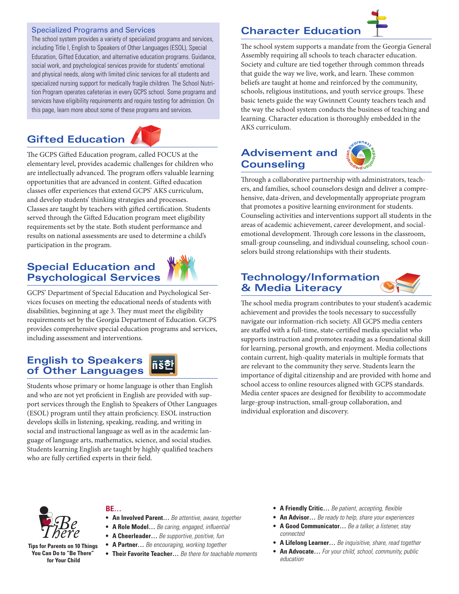## Specialized Programs and Services

The school system provides a variety of specialized programs and services, including Title I, English to Speakers of Other Languages (ESOL), Special Education, Gifted Education, and alternative education programs. Guidance, social work, and psychological services provide for students' emotional and physical needs, along with limited clinic services for all students and specialized nursing support for medically fragile children. The School Nutrition Program operates cafeterias in every GCPS school. Some programs and services have eligibility requirements and require testing for admission. On this page, learn more about some of these programs and services.

# **Gifted Education**



The GCPS Gifted Education program, called FOCUS at the elementary level, provides academic challenges for children who are intellectually advanced. The program offers valuable learning opportunities that are advanced in content. Gifted education classes offer experiences that extend GCPS' AKS curriculum, and develop students' thinking strategies and processes. Classes are taught by teachers with gifted certification. Students served through the Gifted Education program meet eligibility requirements set by the state. Both student performance and results on national assessments are used to determine a child's participation in the program.

# **Special Education and Psychological Services**



GCPS' Department of Special Education and Psychological Services focuses on meeting the educational needs of students with disabilities, beginning at age 3. They must meet the eligibility requirements set by the Georgia Department of Education. GCPS provides comprehensive special education programs and services, including assessment and interventions.

# **English to Speakers of Other Languages**

Students whose primary or home language is other than English and who are not yet proficient in English are provided with support services through the English to Speakers of Other Languages (ESOL) program until they attain proficiency. ESOL instruction develops skills in listening, speaking, reading, and writing in social and instructional language as well as in the academic language of language arts, mathematics, science, and social studies. Students learning English are taught by highly qualified teachers who are fully certified experts in their field.

# **Character Education**



The school system supports a mandate from the Georgia General Assembly requiring all schools to teach character education. Society and culture are tied together through common threads that guide the way we live, work, and learn. These common beliefs are taught at home and reinforced by the community, schools, religious institutions, and youth service groups. These basic tenets guide the way Gwinnett County teachers teach and the way the school system conducts the business of teaching and learning. Character education is thoroughly embedded in the AKS curriculum.

# **Advisement and Counseling**



Through a collaborative partnership with administrators, teachers, and families, school counselors design and deliver a comprehensive, data-driven, and developmentally appropriate program that promotes a positive learning environment for students. Counseling activities and interventions support all students in the areas of academic achievement, career development, and socialemotional development. Through core lessons in the classroom, small-group counseling, and individual counseling, school counselors build strong relationships with their students.

# **Technology/Information & Media Literacy**

The school media program contributes to your student's academic achievement and provides the tools necessary to successfully navigate our information-rich society. All GCPS media centers are staffed with a full-time, state-certified media specialist who supports instruction and promotes reading as a foundational skill for learning, personal growth, and enjoyment. Media collections contain current, high-quality materials in multiple formats that are relevant to the community they serve. Students learn the importance of digital citizenship and are provided with home and school access to online resources aligned with GCPS standards. Media center spaces are designed for flexibility to accommodate large-group instruction, small-group collaboration, and individual exploration and discovery.



**Tips for Parents on 10 Things You Can Do to "Be There" for Your Child**

## **BE…**

- **• An Involved Parent…** *Be attentive, aware, together*
- **• A Role Model…** *Be caring, engaged, influential*
- **• A Cheerleader…** *Be supportive, positive, fun*
- **• A Partner…** *Be encouraging, working together*
- **• Their Favorite Teacher…** *Be there for teachable moments*
- **• A Friendly Critic…** *Be patient, accepting, flexible*
- **• An Advisor…** *Be ready to help, share your experiences*
- **• A Good Communicator…** *Be a talker, a listener, stay connected*
- **• A Lifelong Learner…** *Be inquisitive, share, read together*
- **• An Advocate…** *For your child, school, community, public education*